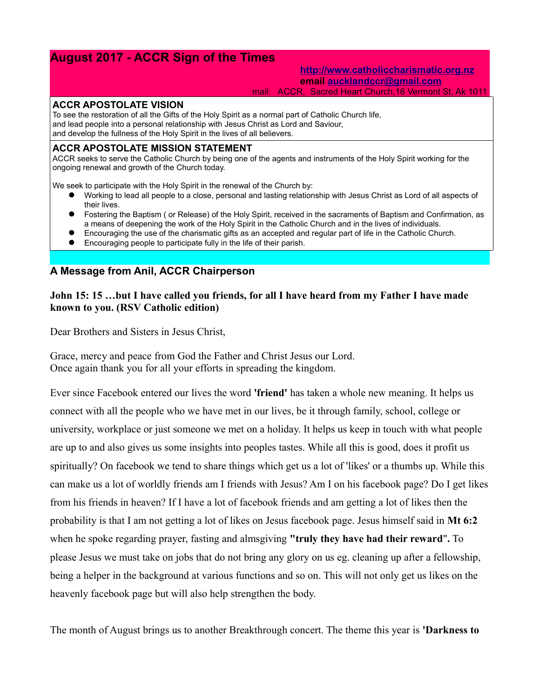# **August 2017 - ACCR Sign of the Times**

#### **[http://www.catholiccharismatic.org.nz](http://www.catholiccharismatic.org.nz/) email [aucklandccr@gmail.com](mailto:aucklandccr@gmail.com)** mail: ACCR, Sacred Heart Church,16 Vermont St, Ak 1011

#### **ACCR APOSTOLATE VISION**

To see the restoration of all the Gifts of the Holy Spirit as a normal part of Catholic Church life, and lead people into a personal relationship with Jesus Christ as Lord and Saviour, and develop the fullness of the Holy Spirit in the lives of all believers.

#### **ACCR APOSTOLATE MISSION STATEMENT**

ACCR seeks to serve the Catholic Church by being one of the agents and instruments of the Holy Spirit working for the ongoing renewal and growth of the Church today.

We seek to participate with the Holy Spirit in the renewal of the Church by:

- Working to lead all people to a close, personal and lasting relationship with Jesus Christ as Lord of all aspects of their lives.
- Fostering the Baptism ( or Release) of the Holy Spirit, received in the sacraments of Baptism and Confirmation, as a means of deepening the work of the Holy Spirit in the Catholic Church and in the lives of individuals.
- Encouraging the use of the charismatic gifts as an accepted and regular part of life in the Catholic Church.
- Encouraging people to participate fully in the life of their parish.

### **A Message from Anil, ACCR Chairperson**

### **John 15: 15 …but I have called you friends, for all I have heard from my Father I have made known to you. (RSV Catholic edition)**

Dear Brothers and Sisters in Jesus Christ,

Grace, mercy and peace from God the Father and Christ Jesus our Lord. Once again thank you for all your efforts in spreading the kingdom.

Ever since Facebook entered our lives the word **'friend'** has taken a whole new meaning. It helps us connect with all the people who we have met in our lives, be it through family, school, college or university, workplace or just someone we met on a holiday. It helps us keep in touch with what people are up to and also gives us some insights into peoples tastes. While all this is good, does it profit us spiritually? On facebook we tend to share things which get us a lot of 'likes' or a thumbs up. While this can make us a lot of worldly friends am I friends with Jesus? Am I on his facebook page? Do I get likes from his friends in heaven? If I have a lot of facebook friends and am getting a lot of likes then the probability is that I am not getting a lot of likes on Jesus facebook page. Jesus himself said in **Mt 6:2**  when he spoke regarding prayer, fasting and almsgiving **"truly they have had their reward**"**.** To please Jesus we must take on jobs that do not bring any glory on us eg. cleaning up after a fellowship, being a helper in the background at various functions and so on. This will not only get us likes on the heavenly facebook page but will also help strengthen the body.

The month of August brings us to another Breakthrough concert. The theme this year is **'Darkness to**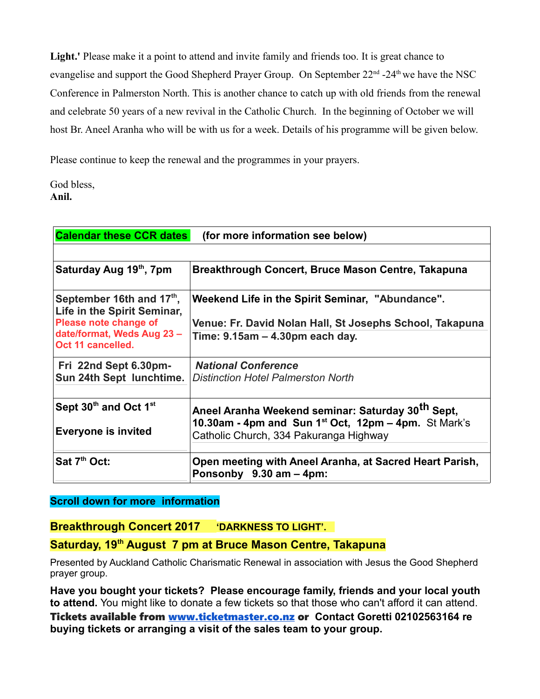**Light.'** Please make it a point to attend and invite family and friends too. It is great chance to evangelise and support the Good Shepherd Prayer Group. On September 22<sup>nd</sup> -24<sup>th</sup> we have the NSC Conference in Palmerston North. This is another chance to catch up with old friends from the renewal and celebrate 50 years of a new revival in the Catholic Church. In the beginning of October we will host Br. Aneel Aranha who will be with us for a week. Details of his programme will be given below.

Please continue to keep the renewal and the programmes in your prayers.

God bless, **Anil.**

| <b>Calendar these CCR dates</b>                                                                                                     | (for more information see below)                                                                                                                                            |
|-------------------------------------------------------------------------------------------------------------------------------------|-----------------------------------------------------------------------------------------------------------------------------------------------------------------------------|
|                                                                                                                                     |                                                                                                                                                                             |
| Saturday Aug 19th, 7pm                                                                                                              | Breakthrough Concert, Bruce Mason Centre, Takapuna                                                                                                                          |
| September 16th and 17th,<br>Life in the Spirit Seminar,<br>Please note change of<br>date/format, Weds Aug 23 -<br>Oct 11 cancelled. | Weekend Life in the Spirit Seminar, "Abundance".<br>Venue: Fr. David Nolan Hall, St Josephs School, Takapuna<br>Time: 9.15am - 4.30pm each day.                             |
| Fri 22nd Sept 6.30pm-<br>Sun 24th Sept lunchtime.                                                                                   | <b>National Conference</b><br><b>Distinction Hotel Palmerston North</b>                                                                                                     |
| Sept 30th and Oct 1st<br><b>Everyone is invited</b>                                                                                 | Aneel Aranha Weekend seminar: Saturday 30 <sup>th</sup> Sept,<br>10.30am - 4pm and Sun 1 <sup>st</sup> Oct, 12pm - 4pm. St Mark's<br>Catholic Church, 334 Pakuranga Highway |
| Sat 7 <sup>th</sup> Oct:                                                                                                            | Open meeting with Aneel Aranha, at Sacred Heart Parish,<br>Ponsonby 9.30 am - 4pm:                                                                                          |

# **Scroll down for more information**

# **Breakthrough Concert 2017 'DARKNESS TO LIGHT'.**

# **Saturday, 19th August 7 pm at Bruce Mason Centre, Takapuna**

Presented by Auckland Catholic Charismatic Renewal in association with Jesus the Good Shepherd prayer group.

**Have you bought your tickets? Please encourage family, friends and your local youth to attend.** You might like to donate a few tickets so that those who can't afford it can attend. Tickets available from [www.ticketmaster.co.nz](http://www.ticketmaster.co.nz/) or **Contact Goretti 02102563164 re buying tickets or arranging a visit of the sales team to your group.**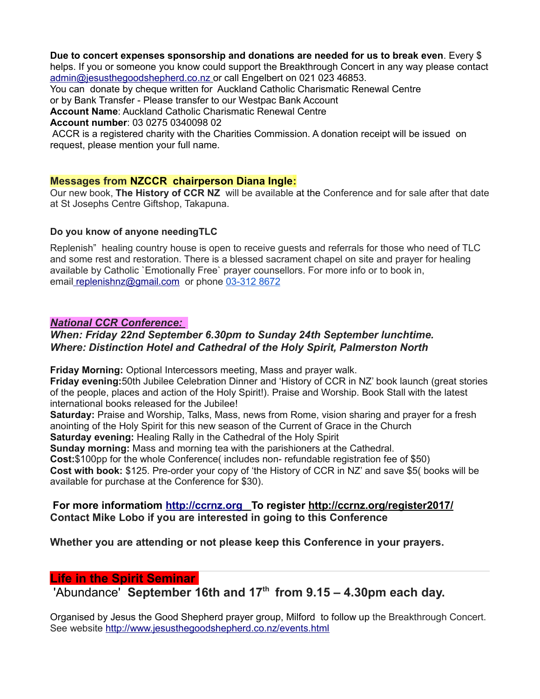#### **Due to concert expenses sponsorship and donations are needed for us to break even**. Every \$

helps. If you or someone you know could support the Breakthrough Concert in any way please contact  [admin@jesusthegoodshepherd.co.nz](mailto:admin@jesusthegoodshepherd.co.nz) or call Engelbert on 021 023 46853.

You can donate by cheque written for Auckland Catholic Charismatic Renewal Centre

or by Bank Transfer - Please transfer to our Westpac Bank Account

**Account Name**: Auckland Catholic Charismatic Renewal Centre

**Account number**: 03 0275 0340098 02

 ACCR is a registered charity with the Charities Commission. A donation receipt will be issued on request, please mention your full name.

### **Messages from NZCCR chairperson Diana Ingle:**

Our new book, **The History of CCR NZ** will be available at the Conference and for sale after that date at St Josephs Centre Giftshop, Takapuna.

#### **Do you know of anyone needingTLC**

Replenish" healing country house is open to receive guests and referrals for those who need of TLC and some rest and restoration. There is a blessed sacrament chapel on site and prayer for healing available by Catholic `Emotionally Free` prayer counsellors. For more info or to book in, emai[l](mailto:+replenishnz@gmail.com) [replenishnz@gmail.com](mailto:replenishnz@gmail.com) or phone [03-312 8672](tel:03-312%208672)

### *National CCR Conference:*

### *When: Friday 22nd September 6.30pm to Sunday 24th September lunchtime. Where: Distinction Hotel and Cathedral of the Holy Spirit, Palmerston North*

**Friday Morning:** Optional Intercessors meeting, Mass and prayer walk.

**Friday evening:**50th Jubilee Celebration Dinner and 'History of CCR in NZ' book launch (great stories of the people, places and action of the Holy Spirit!). Praise and Worship. Book Stall with the latest international books released for the Jubilee!

**Saturday:** Praise and Worship, Talks, Mass, news from Rome, vision sharing and prayer for a fresh anointing of the Holy Spirit for this new season of the Current of Grace in the Church

**Saturday evening:** Healing Rally in the Cathedral of the Holy Spirit

**Sunday morning:** Mass and morning tea with the parishioners at the Cathedral.

**Cost:**\$100pp for the whole Conference( includes non- refundable registration fee of \$50) **Cost with book:** \$125. Pre-order your copy of 'the History of CCR in NZ' and save \$5( books will be available for purchase at the Conference for \$30).

# **For more informatiom [http://ccrnz.org](http://ccrnz.org/) To register<http://ccrnz.org/register2017/> Contact Mike Lobo if you are interested in going to this Conference**

**Whether you are attending or not please keep this Conference in your prayers.**

# **Life in the Spirit Seminar**

'Abundance' **September 16th and 17th from 9.15 – 4.30pm each day.**

Organised by Jesus the Good Shepherd prayer group, Milford to follow up the Breakthrough Concert. See website<http://www.jesusthegoodshepherd.co.nz/events.html>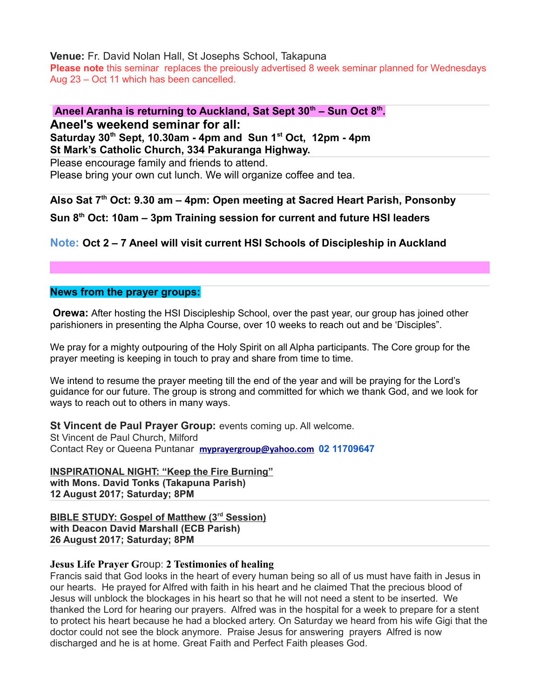**Venue:** Fr. David Nolan Hall, St Josephs School, Takapuna

**Please note** this seminar replaces the preiously advertised 8 week seminar planned for Wednesdays Aug 23 – Oct 11 which has been cancelled.

**Aneel Aranha is returning to Auckland, Sat Sept 30th – Sun Oct 8th . Aneel's weekend seminar for all: Saturday 30th Sept, 10.30am - 4pm and Sun 1st Oct, 12pm - 4pm** 

**St Mark's Catholic Church, 334 Pakuranga Highway.**

Please encourage family and friends to attend. Please bring your own cut lunch. We will organize coffee and tea.

**Also Sat 7th Oct: 9.30 am – 4pm: Open meeting at Sacred Heart Parish, Ponsonby** 

**Sun 8th Oct: 10am – 3pm Training session for current and future HSI leaders**

# **Note: Oct 2 – 7 Aneel will visit current HSI Schools of Discipleship in Auckland**

# **News from the prayer groups:**

**Orewa:** After hosting the HSI Discipleship School, over the past year, our group has joined other parishioners in presenting the Alpha Course, over 10 weeks to reach out and be 'Disciples".

We pray for a mighty outpouring of the Holy Spirit on all Alpha participants. The Core group for the prayer meeting is keeping in touch to pray and share from time to time.

We intend to resume the prayer meeting till the end of the year and will be praying for the Lord's guidance for our future. The group is strong and committed for which we thank God, and we look for ways to reach out to others in many ways.

**St Vincent de Paul Prayer Group:** events coming up. All welcome. St Vincent de Paul Church, Milford

Contact Rey or Queena Puntanar **[myprayergroup@yahoo.com](mailto:myprayergroup@yahoo.com) 02 11709647**

**INSPIRATIONAL NIGHT: "Keep the Fire Burning" with Mons. David Tonks (Takapuna Parish) 12 August 2017; Saturday; 8PM**

 **BIBLE STUDY: Gospel of Matthew (3rd Session) with Deacon David Marshall (ECB Parish) 26 August 2017; Saturday; 8PM**

# **Jesus Life Prayer G**roup: **2 Testimonies of healing**

Francis said that God looks in the heart of every human being so all of us must have faith in Jesus in our hearts. He prayed for Alfred with faith in his heart and he claimed That the precious blood of Jesus will unblock the blockages in his heart so that he will not need a stent to be inserted. We thanked the Lord for hearing our prayers. Alfred was in the hospital for a week to prepare for a stent to protect his heart because he had a blocked artery. On Saturday we heard from his wife Gigi that the doctor could not see the block anymore. Praise Jesus for answering prayers Alfred is now discharged and he is at home. Great Faith and Perfect Faith pleases God.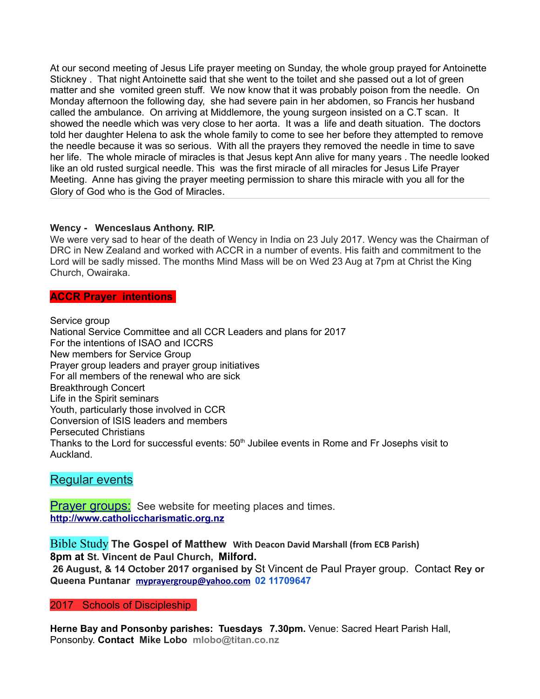At our second meeting of Jesus Life prayer meeting on Sunday, the whole group prayed for Antoinette Stickney . That night Antoinette said that she went to the toilet and she passed out a lot of green matter and she vomited green stuff. We now know that it was probably poison from the needle. On Monday afternoon the following day, she had severe pain in her abdomen, so Francis her husband called the ambulance. On arriving at Middlemore, the young surgeon insisted on a C.T scan. It showed the needle which was very close to her aorta. It was a life and death situation. The doctors told her daughter Helena to ask the whole family to come to see her before they attempted to remove the needle because it was so serious. With all the prayers they removed the needle in time to save her life. The whole miracle of miracles is that Jesus kept Ann alive for many years . The needle looked like an old rusted surgical needle. This was the first miracle of all miracles for Jesus Life Prayer Meeting. Anne has giving the prayer meeting permission to share this miracle with you all for the Glory of God who is the God of Miracles.

### **Wency - Wenceslaus Anthony. RIP.**

We were very sad to hear of the death of Wency in India on 23 July 2017. Wency was the Chairman of DRC in New Zealand and worked with ACCR in a number of events. His faith and commitment to the Lord will be sadly missed. The months Mind Mass will be on Wed 23 Aug at 7pm at Christ the King Church, Owairaka.

### **ACCR Prayer intentions**

Service group National Service Committee and all CCR Leaders and plans for 2017 For the intentions of ISAO and ICCRS New members for Service Group Prayer group leaders and prayer group initiatives For all members of the renewal who are sick Breakthrough Concert Life in the Spirit seminars Youth, particularly those involved in CCR Conversion of ISIS leaders and members Persecuted Christians Thanks to the Lord for successful events: 50<sup>th</sup> Jubilee events in Rome and Fr Josephs visit to Auckland.

# Regular events

**Prayer groups:** See website for meeting places and times. **[http://www.catholiccharismatic.org.nz](http://www.catholiccharismatic.org.nz/)**

Bible Study **The Gospel of Matthew With Deacon David Marshall (from ECB Parish) 8pm at St. Vincent de Paul Church, Milford.** 

 **26 August, & 14 October 2017 organised by** St Vincent de Paul Prayer group. Contact **Rey or Queena Puntanar [myprayergroup@yahoo.com](mailto:myprayergroup@yahoo.com) 02 11709647**

# 2017 Schools of Discipleship

**Herne Bay and Ponsonby parishes: Tuesdays 7.30pm.** Venue: Sacred Heart Parish Hall, Ponsonby. **Contact Mike Lobo mlobo@titan.co.nz**